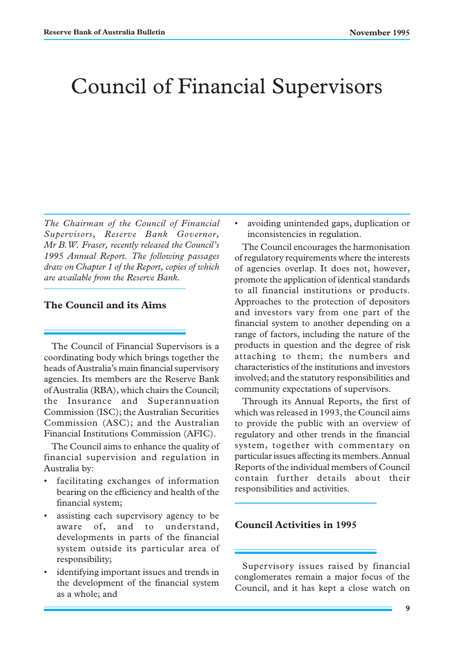# Council of Financial Supervisors

*The Chairman of the Council of Financial Supervisors, Reserve Bank Governor, Mr B.W. Fraser, recently released the Council's 1995 Annual Report. The following passages draw on Chapter 1 of the Report, copies of which are available from the Reserve Bank.*

#### **The Council and its Aims**

The Council of Financial Supervisors is a coordinating body which brings together the heads of Australia's main financial supervisory agencies. Its members are the Reserve Bank of Australia (RBA), which chairs the Council; the Insurance and Superannuation Commission (ISC); the Australian Securities Commission (ASC); and the Australian Financial Institutions Commission (AFIC).

The Council aims to enhance the quality of financial supervision and regulation in Australia by:

- facilitating exchanges of information bearing on the efficiency and health of the financial system;
- assisting each supervisory agency to be aware of, and to understand, developments in parts of the financial system outside its particular area of responsibility;
- identifying important issues and trends in the development of the financial system as a whole; and

• avoiding unintended gaps, duplication or inconsistencies in regulation.

The Council encourages the harmonisation of regulatory requirements where the interests of agencies overlap. It does not, however, promote the application of identical standards to all financial institutions or products. Approaches to the protection of depositors and investors vary from one part of the financial system to another depending on a range of factors, including the nature of the products in question and the degree of risk attaching to them; the numbers and characteristics of the institutions and investors involved; and the statutory responsibilities and community expectations of supervisors.

Through its Annual Reports, the first of which was released in 1993, the Council aims to provide the public with an overview of regulatory and other trends in the financial system, together with commentary on particular issues affecting its members. Annual Reports of the individual members of Council contain further details about their responsibilities and activities.

### **Council Activities in 1995**

Supervisory issues raised by financial conglomerates remain a major focus of the Council, and it has kept a close watch on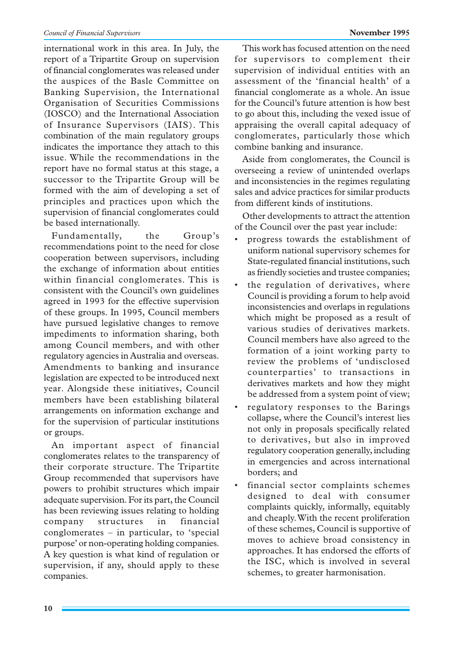#### *Council of Financial Supervisors* **November 1995**

international work in this area. In July, the report of a Tripartite Group on supervision of financial conglomerates was released under the auspices of the Basle Committee on Banking Supervision, the International Organisation of Securities Commissions (IOSCO) and the International Association of Insurance Supervisors (IAIS). This combination of the main regulatory groups indicates the importance they attach to this issue. While the recommendations in the report have no formal status at this stage, a successor to the Tripartite Group will be formed with the aim of developing a set of principles and practices upon which the supervision of financial conglomerates could be based internationally.

Fundamentally, the Group's recommendations point to the need for close cooperation between supervisors, including the exchange of information about entities within financial conglomerates. This is consistent with the Council's own guidelines agreed in 1993 for the effective supervision of these groups. In 1995, Council members have pursued legislative changes to remove impediments to information sharing, both among Council members, and with other regulatory agencies in Australia and overseas. Amendments to banking and insurance legislation are expected to be introduced next year. Alongside these initiatives, Council members have been establishing bilateral arrangements on information exchange and for the supervision of particular institutions or groups.

An important aspect of financial conglomerates relates to the transparency of their corporate structure. The Tripartite Group recommended that supervisors have powers to prohibit structures which impair adequate supervision. For its part, the Council has been reviewing issues relating to holding company structures in financial conglomerates – in particular, to 'special purpose' or non-operating holding companies. A key question is what kind of regulation or supervision, if any, should apply to these companies.

This work has focused attention on the need for supervisors to complement their supervision of individual entities with an assessment of the 'financial health' of a financial conglomerate as a whole. An issue for the Council's future attention is how best to go about this, including the vexed issue of appraising the overall capital adequacy of conglomerates, particularly those which combine banking and insurance.

Aside from conglomerates, the Council is overseeing a review of unintended overlaps and inconsistencies in the regimes regulating sales and advice practices for similar products from different kinds of institutions.

Other developments to attract the attention of the Council over the past year include:

- progress towards the establishment of uniform national supervisory schemes for State-regulated financial institutions, such as friendly societies and trustee companies;
- the regulation of derivatives, where Council is providing a forum to help avoid inconsistencies and overlaps in regulations which might be proposed as a result of various studies of derivatives markets. Council members have also agreed to the formation of a joint working party to review the problems of 'undisclosed counterparties' to transactions in derivatives markets and how they might be addressed from a system point of view;
- regulatory responses to the Barings collapse, where the Council's interest lies not only in proposals specifically related to derivatives, but also in improved regulatory cooperation generally, including in emergencies and across international borders; and
- financial sector complaints schemes designed to deal with consumer complaints quickly, informally, equitably and cheaply. With the recent proliferation of these schemes, Council is supportive of moves to achieve broad consistency in approaches. It has endorsed the efforts of the ISC, which is involved in several schemes, to greater harmonisation.